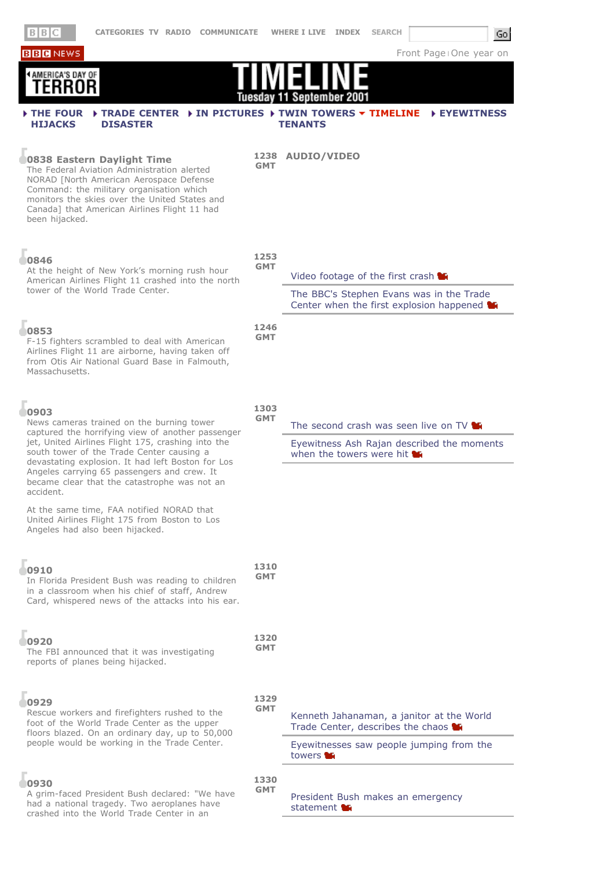**BBB** NEWS

 $Go$ 

Front Page | One year on

| AMERICA'S DAY OF<br>FRRNR                                                                                                                                                                                                                                                                                                                                                  | Tuesday            | September 200<br>11                                                                                                                             |
|----------------------------------------------------------------------------------------------------------------------------------------------------------------------------------------------------------------------------------------------------------------------------------------------------------------------------------------------------------------------------|--------------------|-------------------------------------------------------------------------------------------------------------------------------------------------|
| IF TRADE CENTER IN PICTURES I TWIN TOWERS THE TIMELINE<br><b>FIHE FOUR</b><br><b>HIJACKS</b><br><b>DISASTER</b>                                                                                                                                                                                                                                                            |                    | <b>EYEWITNESS</b><br><b>TENANTS</b>                                                                                                             |
| 0838 Eastern Daylight Time<br>The Federal Aviation Administration alerted<br>NORAD [North American Aerospace Defense<br>Command: the military organisation which<br>monitors the skies over the United States and<br>Canada] that American Airlines Flight 11 had<br>been hijacked.                                                                                        | <b>GMT</b>         | 1238 AUDIO/VIDEO                                                                                                                                |
| 0846<br>At the height of New York's morning rush hour<br>American Airlines Flight 11 crashed into the north<br>tower of the World Trade Center.                                                                                                                                                                                                                            | 1253<br><b>GMT</b> | Video footage of the first crash<br>The BBC's Stephen Evans was in the Trade<br>Center when the first explosion happened $\blacksquare$         |
| 0853<br>F-15 fighters scrambled to deal with American<br>Airlines Flight 11 are airborne, having taken off<br>from Otis Air National Guard Base in Falmouth,<br>Massachusetts.                                                                                                                                                                                             | 1246<br><b>GMT</b> |                                                                                                                                                 |
| 0903<br>News cameras trained on the burning tower<br>captured the horrifying view of another passenger<br>jet, United Airlines Flight 175, crashing into the<br>south tower of the Trade Center causing a<br>devastating explosion. It had left Boston for Los<br>Angeles carrying 65 passengers and crew. It<br>became clear that the catastrophe was not an<br>accident. | 1303<br><b>GMT</b> | The second crash was seen live on TV<br>Eyewitness Ash Rajan described the moments<br>when the towers were hit $\blacksquare$                   |
| At the same time, FAA notified NORAD that<br>United Airlines Flight 175 from Boston to Los<br>Angeles had also been hijacked.                                                                                                                                                                                                                                              | 1310               |                                                                                                                                                 |
| 0910<br>In Florida President Bush was reading to children<br>in a classroom when his chief of staff, Andrew<br>Card, whispered news of the attacks into his ear.                                                                                                                                                                                                           |                    |                                                                                                                                                 |
| 0920<br>The FBI announced that it was investigating<br>reports of planes being hijacked.                                                                                                                                                                                                                                                                                   | 1320<br><b>GMT</b> |                                                                                                                                                 |
| 0929<br>Rescue workers and firefighters rushed to the<br>foot of the World Trade Center as the upper<br>floors blazed. On an ordinary day, up to 50,000<br>people would be working in the Trade Center.                                                                                                                                                                    | 1329<br><b>GMT</b> | Kenneth Jahanaman, a janitor at the World<br>Trade Center, describes the chaos<br>Eyewitnesses saw people jumping from the<br>towers <b>the</b> |
| 0930<br>A grim-faced President Bush declared: "We have<br>had a national tragedy. Two aeroplanes have<br>crashed into the World Trade Center in an                                                                                                                                                                                                                         | 1330<br><b>GMT</b> | President Bush makes an emergency<br>statement <b>M</b>                                                                                         |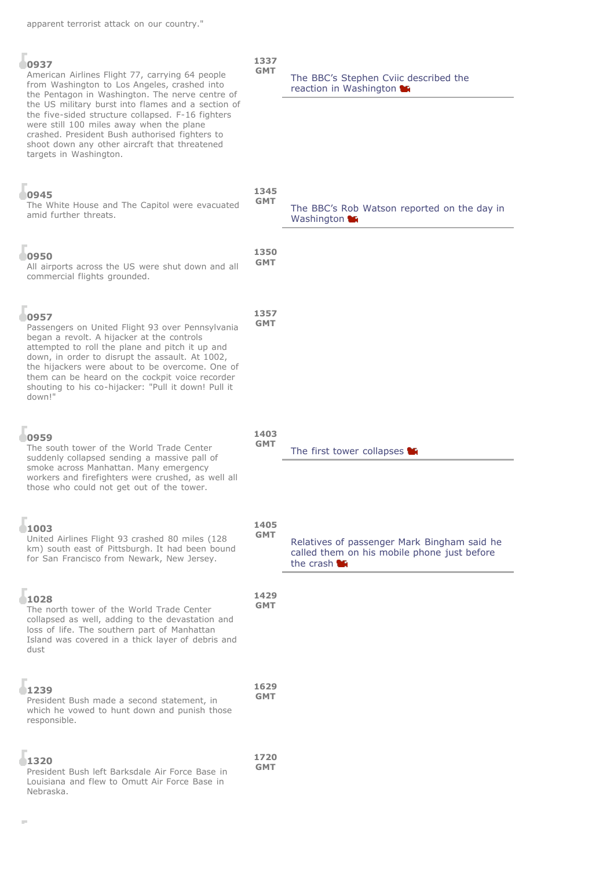| × | ٧ | -<br>. . |  |
|---|---|----------|--|

## American Airlines Flight 77, carrying 64 people from Washington to Los Angeles, crashed into the Pentagon in Washington. The nerve centre of the US military burst into flames and a section of the five-sided structure collapsed. F-16 fighters were still 100 miles away when the plane crashed. President Bush authorised fighters to shoot down any other aircraft that threatened targets in Washington.

# **0945** The White House and The Capitol were evacuated amid further threats. **GMT** The BBC's Rob Watson reported on the day in Washington **LE 0950** All airports across the US were shut down and all commercial flights grounded. **1350 GMT 0957** Passengers on United Flight 93 over Pennsylvania began a revolt. A hijacker at the controls attempted to roll the plane and pitch it up and down, in order to disrupt the assault. At 1002, the hijackers were about to be overcome. One of them can be heard on the cockpit voice recorder shouting to his co-hijacker: "Pull it down! Pull it down!" **1357 GMT**

# **0959**

The south tower of the World Trade Center suddenly collapsed sending a massive pall of smoke across Manhattan. Many emergency workers and firefighters were crushed, as well all those who could not get out of the tower.

# **1003**

# United Airlines Flight 93 crashed 80 miles (128 km) south east of Pittsburgh. It had been bound for San Francisco from Newark, New Jersey.

# **1028**

The north tower of the World Trade Center collapsed as well, adding to the devastation and loss of life. The southern part of Manhattan Island was covered in a thick layer of debris and dust

#### **1239** President Bush made a second statement, in which he vowed to hunt down and punish those responsible. **1629 GMT**

#### **1320** President Bush left Barksdale Air Force Base in Louisiana and flew to Omutt Air Force Base in Nebraska. **1720 GMT**

The BBC's Stephen Cviic described the reaction in Washington

# **1345**

**1337 GMT**

### **GMT** The first tower collapses

Relatives of passenger Mark Bingham said he called them on his mobile phone just before the crash **M** 

**1429 GMT**

**1403**

**1405 GMT**